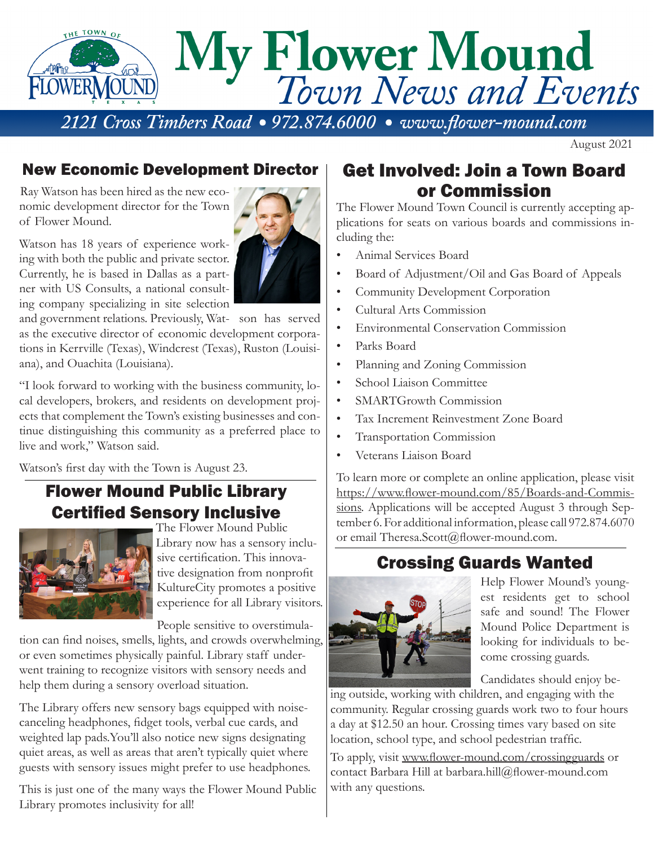

August 2021

### New Economic Development Director | Get Involved: Join a Town Board

Ray Watson has been hired as the new economic development director for the Town of Flower Mound.

Watson has 18 years of experience working with both the public and private sector. Currently, he is based in Dallas as a partner with US Consults, a national consulting company specializing in site selection

and government relations. Previously, Wat- son has served as the executive director of economic development corporations in Kerrville (Texas), Windcrest (Texas), Ruston (Louisiana), and Ouachita (Louisiana).

"I look forward to working with the business community, local developers, brokers, and residents on development projects that complement the Town's existing businesses and continue distinguishing this community as a preferred place to live and work," Watson said.

Watson's first day with the Town is August 23.

## Flower Mound Public Library Certified Sensory Inclusive



The Flower Mound Public Library now has a sensory inclusive certification. This innovative designation from nonprofit KultureCity promotes a positive experience for all Library visitors.

People sensitive to overstimula-

tion can find noises, smells, lights, and crowds overwhelming, or even sometimes physically painful. Library staff underwent training to recognize visitors with sensory needs and help them during a sensory overload situation.

The Library offers new sensory bags equipped with noisecanceling headphones, fidget tools, verbal cue cards, and weighted lap pads.You'll also notice new signs designating quiet areas, as well as areas that aren't typically quiet where guests with sensory issues might prefer to use headphones.

This is just one of the many ways the Flower Mound Public Library promotes inclusivity for all!

# or Commission

The Flower Mound Town Council is currently accepting applications for seats on various boards and commissions including the:

- Animal Services Board
- Board of Adjustment/Oil and Gas Board of Appeals
- Community Development Corporation
- Cultural Arts Commission
- Environmental Conservation Commission
- Parks Board
- Planning and Zoning Commission
- School Liaison Committee
- SMARTGrowth Commission
- Tax Increment Reinvestment Zone Board
- Transportation Commission
- Veterans Liaison Board

To learn more or complete an online application, please visit https://www.flower-mound.com/85/Boards-and-Commissions. Applications will be accepted August 3 through September 6. For additional information, please call 972.874.6070 or email Theresa.Scott@flower-mound.com.

# Crossing Guards Wanted



Help Flower Mound's youngest residents get to school safe and sound! The Flower Mound Police Department is looking for individuals to become crossing guards.

Candidates should enjoy be-

ing outside, working with children, and engaging with the community. Regular crossing guards work two to four hours a day at \$12.50 an hour. Crossing times vary based on site location, school type, and school pedestrian traffic.

To apply, visit www.flower-mound.com/crossingguards or contact Barbara Hill at barbara.hill@flower-mound.com with any questions.